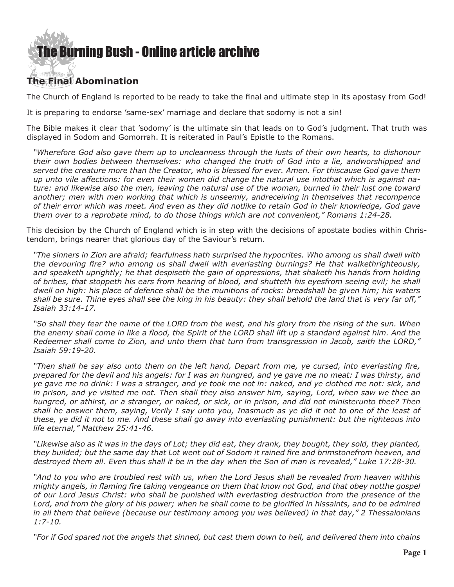### [The Burning Bush - Online article archive](http://www.ivanfoster.net)

### **The Final Abomination**

The Church of England is reported to be ready to take the final and ultimate step in its apostasy from God!

It is preparing to endorse 'same-sex' marriage and declare that sodomy is not a sin!

The Bible makes it clear that 'sodomy' is the ultimate sin that leads on to God's judgment. That truth was displayed in Sodom and Gomorrah. It is reiterated in Paul's Epistle to the Romans.

*"Wherefore God also gave them up to uncleanness through the lusts of their own hearts, to dishonour their own bodies between themselves: who changed the truth of God into a lie, andworshipped and served the creature more than the Creator, who is blessed for ever. Amen. For thiscause God gave them up unto vile affections: for even their women did change the natural use intothat which is against nature: and likewise also the men, leaving the natural use of the woman, burned in their lust one toward another; men with men working that which is unseemly, andreceiving in themselves that recompence of their error which was meet. And even as they did notlike to retain God in their knowledge, God gave them over to a reprobate mind, to do those things which are not convenient," Romans 1:24-28.*

This decision by the Church of England which is in step with the decisions of apostate bodies within Christendom, brings nearer that glorious day of the Saviour's return.

*"The sinners in Zion are afraid; fearfulness hath surprised the hypocrites. Who among us shall dwell with the devouring fire? who among us shall dwell with everlasting burnings? He that walkethrighteously, and speaketh uprightly; he that despiseth the gain of oppressions, that shaketh his hands from holding of bribes, that stoppeth his ears from hearing of blood, and shutteth his eyesfrom seeing evil; he shall dwell on high: his place of defence shall be the munitions of rocks: breadshall be given him; his waters shall be sure. Thine eyes shall see the king in his beauty: they shall behold the land that is very far off," Isaiah 33:14-17.*

*"So shall they fear the name of the LORD from the west, and his glory from the rising of the sun. When the enemy shall come in like a flood, the Spirit of the LORD shall lift up a standard against him. And the Redeemer shall come to Zion, and unto them that turn from transgression in Jacob, saith the LORD," Isaiah 59:19-20.*

*"Then shall he say also unto them on the left hand, Depart from me, ye cursed, into everlasting fire, prepared for the devil and his angels: for I was an hungred, and ye gave me no meat: I was thirsty, and ye gave me no drink: I was a stranger, and ye took me not in: naked, and ye clothed me not: sick, and in prison, and ye visited me not. Then shall they also answer him, saying, Lord, when saw we thee an hungred, or athirst, or a stranger, or naked, or sick, or in prison, and did not ministerunto thee? Then shall he answer them, saying, Verily I say unto you, Inasmuch as ye did it not to one of the least of these, ye did it not to me. And these shall go away into everlasting punishment: but the righteous into life eternal," Matthew 25:41-46.*

*"Likewise also as it was in the days of Lot; they did eat, they drank, they bought, they sold, they planted, they builded; but the same day that Lot went out of Sodom it rained fire and brimstonefrom heaven, and destroyed them all. Even thus shall it be in the day when the Son of man is revealed," Luke 17:28-30.*

*"And to you who are troubled rest with us, when the Lord Jesus shall be revealed from heaven withhis mighty angels, in flaming fire taking vengeance on them that know not God, and that obey notthe gospel of our Lord Jesus Christ: who shall be punished with everlasting destruction from the presence of the*  Lord, and from the glory of his power; when he shall come to be glorified in hissaints, and to be admired *in all them that believe (because our testimony among you was believed) in that day," 2 Thessalonians 1:7-10.*

*"For if God spared not the angels that sinned, but cast them down to hell, and delivered them into chains*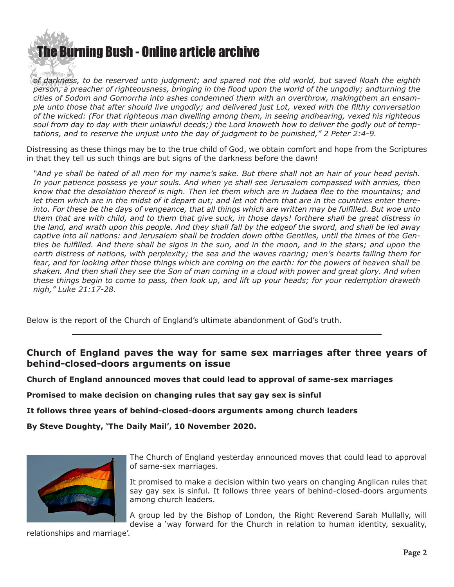## **e Burning Bush - Online article archive**

*of darkness, to be reserved unto judgment; and spared not the old world, but saved Noah the eighth person, a preacher of righteousness, bringing in the flood upon the world of the ungodly; andturning the cities of Sodom and Gomorrha into ashes condemned them with an overthrow, makingthem an ensample unto those that after should live ungodly; and delivered just Lot, vexed with the filthy conversation of the wicked: (For that righteous man dwelling among them, in seeing andhearing, vexed his righteous soul from day to day with their unlawful deeds;) the Lord knoweth how to deliver the godly out of temptations, and to reserve the unjust unto the day of judgment to be punished," 2 Peter 2:4-9.*

Distressing as these things may be to the true child of God, we obtain comfort and hope from the Scriptures in that they tell us such things are but signs of the darkness before the dawn!

*"And ye shall be hated of all men for my name's sake. But there shall not an hair of your head perish.*  In your patience possess ye your souls. And when ye shall see Jerusalem compassed with armies, then *know that the desolation thereof is nigh. Then let them which are in Judaea flee to the mountains; and let them which are in the midst of it depart out; and let not them that are in the countries enter thereinto. For these be the days of vengeance, that all things which are written may be fulfilled. But woe unto them that are with child, and to them that give suck, in those days! forthere shall be great distress in the land, and wrath upon this people. And they shall fall by the edgeof the sword, and shall be led away captive into all nations: and Jerusalem shall be trodden down ofthe Gentiles, until the times of the Gentiles be fulfilled. And there shall be signs in the sun, and in the moon, and in the stars; and upon the earth distress of nations, with perplexity; the sea and the waves roaring; men's hearts failing them for fear, and for looking after those things which are coming on the earth: for the powers of heaven shall be shaken. And then shall they see the Son of man coming in a cloud with power and great glory. And when these things begin to come to pass, then look up, and lift up your heads; for your redemption draweth nigh," Luke 21:17-28.*

Below is the report of the Church of England's ultimate abandonment of God's truth.

#### **Church of England paves the way for same sex marriages after three years of behind-closed-doors arguments on issue**

**Church of England announced moves that could lead to approval of same-sex marriages** 

**Promised to make decision on changing rules that say gay sex is sinful** 

**It follows three years of behind-closed-doors arguments among church leaders** 

**By Steve Doughty, 'The Daily Mail', 10 November 2020.**



The Church of England yesterday announced moves that could lead to approval of same-sex marriages.

It promised to make a decision within two years on changing Anglican rules that say gay sex is sinful. It follows three years of behind-closed-doors arguments among church leaders.

A group led by the Bishop of London, the Right Reverend Sarah Mullally, will devise a 'way forward for the Church in relation to human identity, sexuality,

relationships and marriage'.